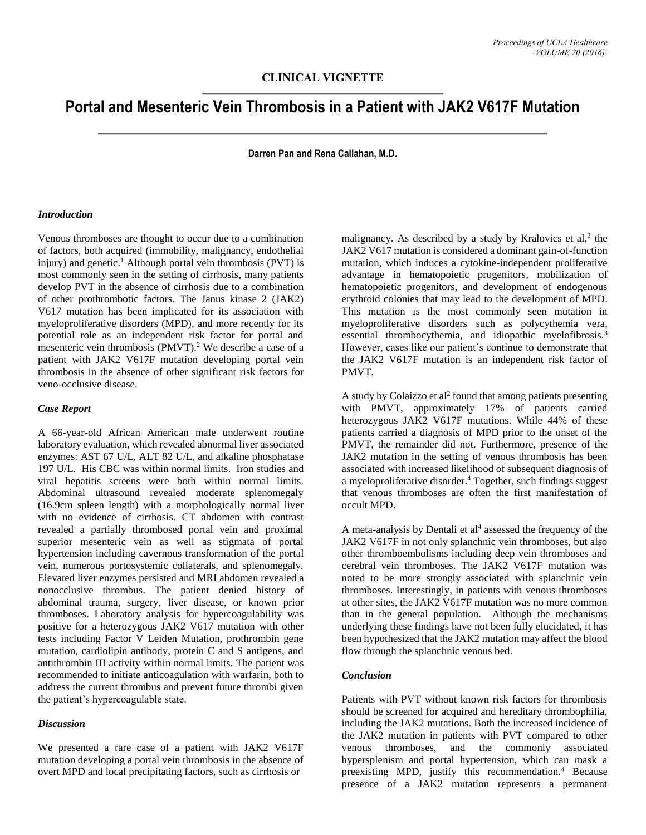# **Portal and Mesenteric Vein Thrombosis in a Patient with JAK2 V617F Mutation**

**Darren Pan and Rena Callahan, M.D.**

## *Introduction*

Venous thromboses are thought to occur due to a combination of factors, both acquired (immobility, malignancy, endothelial injury) and genetic. <sup>1</sup> Although portal vein thrombosis (PVT) is most commonly seen in the setting of cirrhosis, many patients develop PVT in the absence of cirrhosis due to a combination of other prothrombotic factors. The Janus kinase 2 (JAK2) V617 mutation has been implicated for its association with myeloproliferative disorders (MPD), and more recently for its potential role as an independent risk factor for portal and mesenteric vein thrombosis (PMVT). <sup>2</sup> We describe a case of a patient with JAK2 V617F mutation developing portal vein thrombosis in the absence of other significant risk factors for veno-occlusive disease.

#### *Case Report*

A 66-year-old African American male underwent routine laboratory evaluation, which revealed abnormal liver associated enzymes: AST 67 U/L, ALT 82 U/L, and alkaline phosphatase 197 U/L. His CBC was within normal limits. Iron studies and viral hepatitis screens were both within normal limits. Abdominal ultrasound revealed moderate splenomegaly (16.9cm spleen length) with a morphologically normal liver with no evidence of cirrhosis. CT abdomen with contrast revealed a partially thrombosed portal vein and proximal superior mesenteric vein as well as stigmata of portal hypertension including cavernous transformation of the portal vein, numerous portosystemic collaterals, and splenomegaly. Elevated liver enzymes persisted and MRI abdomen revealed a nonocclusive thrombus. The patient denied history of abdominal trauma, surgery, liver disease, or known prior thromboses. Laboratory analysis for hypercoagulability was positive for a heterozygous JAK2 V617 mutation with other tests including Factor V Leiden Mutation, prothrombin gene mutation, cardiolipin antibody, protein C and S antigens, and antithrombin III activity within normal limits. The patient was recommended to initiate anticoagulation with warfarin, both to address the current thrombus and prevent future thrombi given the patient's hypercoagulable state.

## *Discussion*

We presented a rare case of a patient with JAK2 V617F mutation developing a portal vein thrombosis in the absence of overt MPD and local precipitating factors, such as cirrhosis or

malignancy. As described by a study by Kralovics et al,<sup>3</sup> the JAK2 V617 mutation is considered a dominant gain-of-function mutation, which induces a cytokine-independent proliferative advantage in hematopoietic progenitors, mobilization of hematopoietic progenitors, and development of endogenous erythroid colonies that may lead to the development of MPD. This mutation is the most commonly seen mutation in myeloproliferative disorders such as polycythemia vera, essential thrombocythemia, and idiopathic myelofibrosis.<sup>3</sup> However, cases like our patient's continue to demonstrate that the JAK2 V617F mutation is an independent risk factor of PMVT.

A study by Colaizzo et  $al^2$  found that among patients presenting with PMVT, approximately 17% of patients carried heterozygous JAK2 V617F mutations. While 44% of these patients carried a diagnosis of MPD prior to the onset of the PMVT, the remainder did not. Furthermore, presence of the JAK2 mutation in the setting of venous thrombosis has been associated with increased likelihood of subsequent diagnosis of a myeloproliferative disorder. <sup>4</sup> Together, such findings suggest that venous thromboses are often the first manifestation of occult MPD.

A meta-analysis by Dentali et  $a<sup>14</sup>$  assessed the frequency of the JAK2 V617F in not only splanchnic vein thromboses, but also other thromboembolisms including deep vein thromboses and cerebral vein thromboses. The JAK2 V617F mutation was noted to be more strongly associated with splanchnic vein thromboses. Interestingly, in patients with venous thromboses at other sites, the JAK2 V617F mutation was no more common than in the general population. Although the mechanisms underlying these findings have not been fully elucidated, it has been hypothesized that the JAK2 mutation may affect the blood flow through the splanchnic venous bed.

### *Conclusion*

Patients with PVT without known risk factors for thrombosis should be screened for acquired and hereditary thrombophilia, including the JAK2 mutations. Both the increased incidence of the JAK2 mutation in patients with PVT compared to other venous thromboses, and the commonly associated hypersplenism and portal hypertension, which can mask a preexisting MPD, justify this recommendation.<sup>4</sup> Because presence of a JAK2 mutation represents a permanent